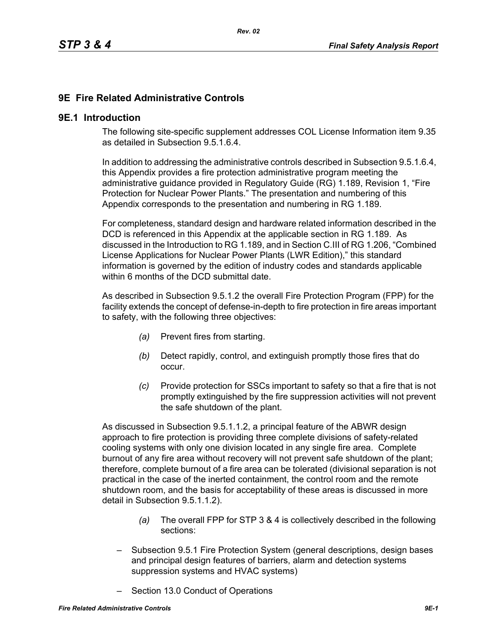## **9E Fire Related Administrative Controls**

#### **9E.1 Introduction**

The following site-specific supplement addresses COL License Information item 9.35 as detailed in Subsection 9.5.1.6.4.

In addition to addressing the administrative controls described in Subsection 9.5.1.6.4, this Appendix provides a fire protection administrative program meeting the administrative guidance provided in Regulatory Guide (RG) 1.189, Revision 1, "Fire Protection for Nuclear Power Plants." The presentation and numbering of this Appendix corresponds to the presentation and numbering in RG 1.189.

For completeness, standard design and hardware related information described in the DCD is referenced in this Appendix at the applicable section in RG 1.189. As discussed in the Introduction to RG 1.189, and in Section C.III of RG 1.206, "Combined License Applications for Nuclear Power Plants (LWR Edition)," this standard information is governed by the edition of industry codes and standards applicable within 6 months of the DCD submittal date.

As described in Subsection 9.5.1.2 the overall Fire Protection Program (FPP) for the facility extends the concept of defense-in-depth to fire protection in fire areas important to safety, with the following three objectives:

- *(a)* Prevent fires from starting.
- *(b)* Detect rapidly, control, and extinguish promptly those fires that do occur.
- *(c)* Provide protection for SSCs important to safety so that a fire that is not promptly extinguished by the fire suppression activities will not prevent the safe shutdown of the plant.

As discussed in Subsection 9.5.1.1.2, a principal feature of the ABWR design approach to fire protection is providing three complete divisions of safety-related cooling systems with only one division located in any single fire area. Complete burnout of any fire area without recovery will not prevent safe shutdown of the plant; therefore, complete burnout of a fire area can be tolerated (divisional separation is not practical in the case of the inerted containment, the control room and the remote shutdown room, and the basis for acceptability of these areas is discussed in more detail in Subsection 9.5.1.1.2).

- *(a)* The overall FPP for STP 3 & 4 is collectively described in the following sections:
- Subsection 9.5.1 Fire Protection System (general descriptions, design bases and principal design features of barriers, alarm and detection systems suppression systems and HVAC systems)
- Section 13.0 Conduct of Operations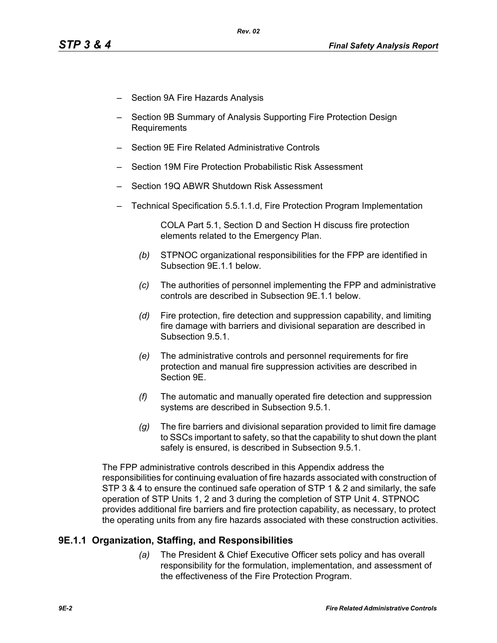- Section 9A Fire Hazards Analysis
- Section 9B Summary of Analysis Supporting Fire Protection Design Requirements
- Section 9E Fire Related Administrative Controls
- Section 19M Fire Protection Probabilistic Risk Assessment
- Section 19Q ABWR Shutdown Risk Assessment
- Technical Specification 5.5.1.1.d, Fire Protection Program Implementation

COLA Part 5.1, Section D and Section H discuss fire protection elements related to the Emergency Plan.

- *(b)* STPNOC organizational responsibilities for the FPP are identified in Subsection 9E.1.1 below.
- *(c)* The authorities of personnel implementing the FPP and administrative controls are described in Subsection 9E.1.1 below.
- *(d)* Fire protection, fire detection and suppression capability, and limiting fire damage with barriers and divisional separation are described in Subsection 9.5.1.
- *(e)* The administrative controls and personnel requirements for fire protection and manual fire suppression activities are described in Section 9E.
- *(f)* The automatic and manually operated fire detection and suppression systems are described in Subsection 9.5.1.
- *(g)* The fire barriers and divisional separation provided to limit fire damage to SSCs important to safety, so that the capability to shut down the plant safely is ensured, is described in Subsection 9.5.1.

The FPP administrative controls described in this Appendix address the responsibilities for continuing evaluation of fire hazards associated with construction of STP 3 & 4 to ensure the continued safe operation of STP 1 & 2 and similarly, the safe operation of STP Units 1, 2 and 3 during the completion of STP Unit 4. STPNOC provides additional fire barriers and fire protection capability, as necessary, to protect the operating units from any fire hazards associated with these construction activities.

# **9E.1.1 Organization, Staffing, and Responsibilities**

*(a)* The President & Chief Executive Officer sets policy and has overall responsibility for the formulation, implementation, and assessment of the effectiveness of the Fire Protection Program.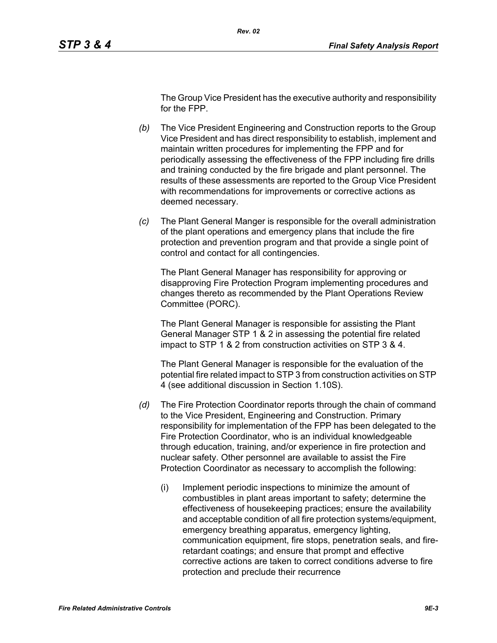The Group Vice President has the executive authority and responsibility for the FPP.

- *(b)* The Vice President Engineering and Construction reports to the Group Vice President and has direct responsibility to establish, implement and maintain written procedures for implementing the FPP and for periodically assessing the effectiveness of the FPP including fire drills and training conducted by the fire brigade and plant personnel. The results of these assessments are reported to the Group Vice President with recommendations for improvements or corrective actions as deemed necessary.
- *(c)* The Plant General Manger is responsible for the overall administration of the plant operations and emergency plans that include the fire protection and prevention program and that provide a single point of control and contact for all contingencies.

The Plant General Manager has responsibility for approving or disapproving Fire Protection Program implementing procedures and changes thereto as recommended by the Plant Operations Review Committee (PORC).

The Plant General Manager is responsible for assisting the Plant General Manager STP 1 & 2 in assessing the potential fire related impact to STP 1 & 2 from construction activities on STP 3 & 4.

The Plant General Manager is responsible for the evaluation of the potential fire related impact to STP 3 from construction activities on STP 4 (see additional discussion in Section 1.10S).

- *(d)* The Fire Protection Coordinator reports through the chain of command to the Vice President, Engineering and Construction. Primary responsibility for implementation of the FPP has been delegated to the Fire Protection Coordinator, who is an individual knowledgeable through education, training, and/or experience in fire protection and nuclear safety. Other personnel are available to assist the Fire Protection Coordinator as necessary to accomplish the following:
	- (i) Implement periodic inspections to minimize the amount of combustibles in plant areas important to safety; determine the effectiveness of housekeeping practices; ensure the availability and acceptable condition of all fire protection systems/equipment, emergency breathing apparatus, emergency lighting, communication equipment, fire stops, penetration seals, and fireretardant coatings; and ensure that prompt and effective corrective actions are taken to correct conditions adverse to fire protection and preclude their recurrence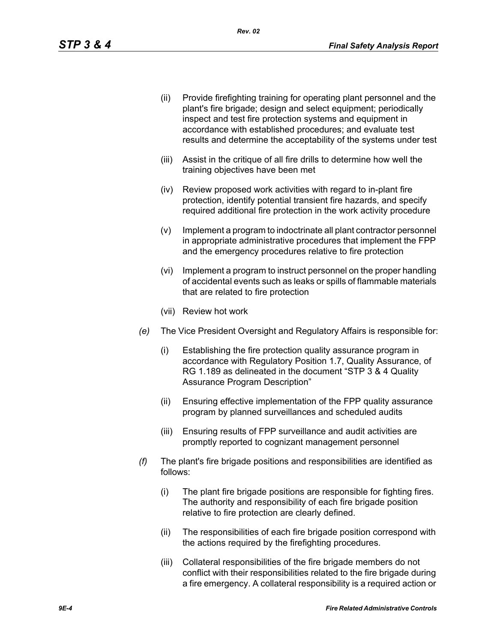- (ii) Provide firefighting training for operating plant personnel and the plant's fire brigade; design and select equipment; periodically inspect and test fire protection systems and equipment in accordance with established procedures; and evaluate test results and determine the acceptability of the systems under test
- (iii) Assist in the critique of all fire drills to determine how well the training objectives have been met
- (iv) Review proposed work activities with regard to in-plant fire protection, identify potential transient fire hazards, and specify required additional fire protection in the work activity procedure
- (v) Implement a program to indoctrinate all plant contractor personnel in appropriate administrative procedures that implement the FPP and the emergency procedures relative to fire protection
- (vi) Implement a program to instruct personnel on the proper handling of accidental events such as leaks or spills of flammable materials that are related to fire protection
- (vii) Review hot work
- *(e)* The Vice President Oversight and Regulatory Affairs is responsible for:
	- (i) Establishing the fire protection quality assurance program in accordance with Regulatory Position 1.7, Quality Assurance, of RG 1.189 as delineated in the document "STP 3 & 4 Quality Assurance Program Description"
	- (ii) Ensuring effective implementation of the FPP quality assurance program by planned surveillances and scheduled audits
	- (iii) Ensuring results of FPP surveillance and audit activities are promptly reported to cognizant management personnel
- *(f)* The plant's fire brigade positions and responsibilities are identified as follows:
	- (i) The plant fire brigade positions are responsible for fighting fires. The authority and responsibility of each fire brigade position relative to fire protection are clearly defined.
	- (ii) The responsibilities of each fire brigade position correspond with the actions required by the firefighting procedures.
	- (iii) Collateral responsibilities of the fire brigade members do not conflict with their responsibilities related to the fire brigade during a fire emergency. A collateral responsibility is a required action or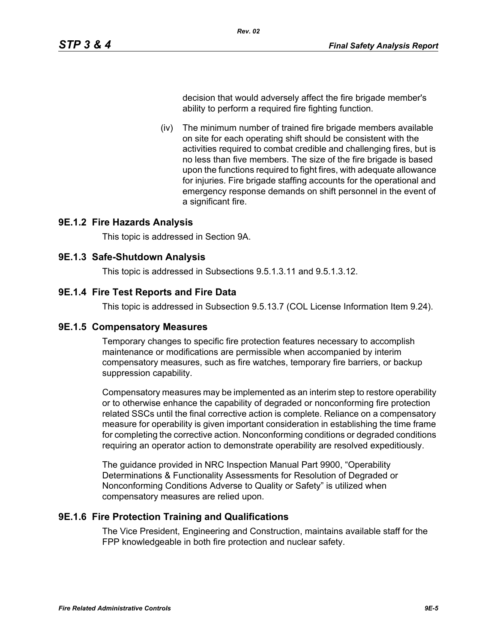decision that would adversely affect the fire brigade member's ability to perform a required fire fighting function.

(iv) The minimum number of trained fire brigade members available on site for each operating shift should be consistent with the activities required to combat credible and challenging fires, but is no less than five members. The size of the fire brigade is based upon the functions required to fight fires, with adequate allowance for injuries. Fire brigade staffing accounts for the operational and emergency response demands on shift personnel in the event of a significant fire.

## **9E.1.2 Fire Hazards Analysis**

This topic is addressed in Section 9A.

### **9E.1.3 Safe-Shutdown Analysis**

This topic is addressed in Subsections 9.5.1.3.11 and 9.5.1.3.12.

### **9E.1.4 Fire Test Reports and Fire Data**

This topic is addressed in Subsection 9.5.13.7 (COL License Information Item 9.24).

### **9E.1.5 Compensatory Measures**

Temporary changes to specific fire protection features necessary to accomplish maintenance or modifications are permissible when accompanied by interim compensatory measures, such as fire watches, temporary fire barriers, or backup suppression capability.

Compensatory measures may be implemented as an interim step to restore operability or to otherwise enhance the capability of degraded or nonconforming fire protection related SSCs until the final corrective action is complete. Reliance on a compensatory measure for operability is given important consideration in establishing the time frame for completing the corrective action. Nonconforming conditions or degraded conditions requiring an operator action to demonstrate operability are resolved expeditiously.

The guidance provided in NRC Inspection Manual Part 9900, "Operability Determinations & Functionality Assessments for Resolution of Degraded or Nonconforming Conditions Adverse to Quality or Safety" is utilized when compensatory measures are relied upon.

# **9E.1.6 Fire Protection Training and Qualifications**

The Vice President, Engineering and Construction, maintains available staff for the FPP knowledgeable in both fire protection and nuclear safety.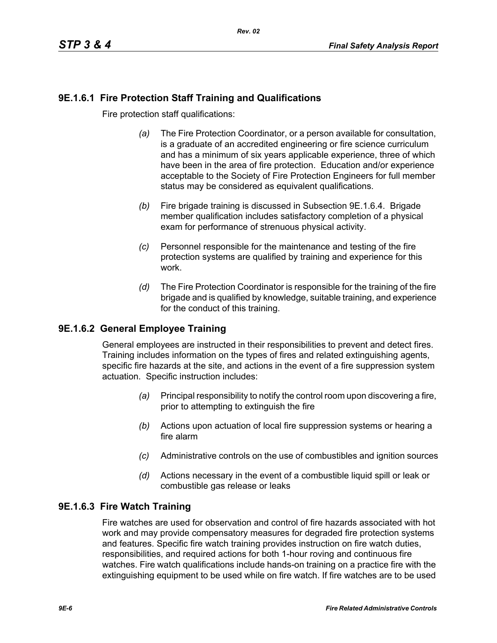# **9E.1.6.1 Fire Protection Staff Training and Qualifications**

Fire protection staff qualifications:

- *(a)* The Fire Protection Coordinator, or a person available for consultation, is a graduate of an accredited engineering or fire science curriculum and has a minimum of six years applicable experience, three of which have been in the area of fire protection. Education and/or experience acceptable to the Society of Fire Protection Engineers for full member status may be considered as equivalent qualifications.
- *(b)* Fire brigade training is discussed in Subsection 9E.1.6.4. Brigade member qualification includes satisfactory completion of a physical exam for performance of strenuous physical activity.
- *(c)* Personnel responsible for the maintenance and testing of the fire protection systems are qualified by training and experience for this work.
- *(d)* The Fire Protection Coordinator is responsible for the training of the fire brigade and is qualified by knowledge, suitable training, and experience for the conduct of this training.

# **9E.1.6.2 General Employee Training**

General employees are instructed in their responsibilities to prevent and detect fires. Training includes information on the types of fires and related extinguishing agents, specific fire hazards at the site, and actions in the event of a fire suppression system actuation. Specific instruction includes:

- *(a)* Principal responsibility to notify the control room upon discovering a fire, prior to attempting to extinguish the fire
- *(b)* Actions upon actuation of local fire suppression systems or hearing a fire alarm
- *(c)* Administrative controls on the use of combustibles and ignition sources
- *(d)* Actions necessary in the event of a combustible liquid spill or leak or combustible gas release or leaks

# **9E.1.6.3 Fire Watch Training**

Fire watches are used for observation and control of fire hazards associated with hot work and may provide compensatory measures for degraded fire protection systems and features. Specific fire watch training provides instruction on fire watch duties, responsibilities, and required actions for both 1-hour roving and continuous fire watches. Fire watch qualifications include hands-on training on a practice fire with the extinguishing equipment to be used while on fire watch. If fire watches are to be used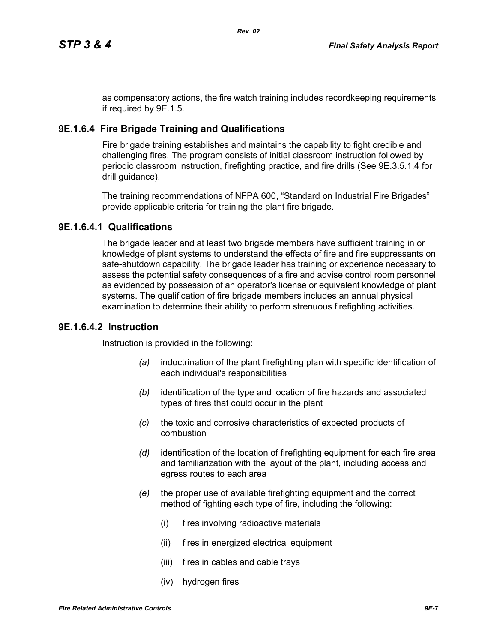as compensatory actions, the fire watch training includes recordkeeping requirements if required by 9E.1.5.

## **9E.1.6.4 Fire Brigade Training and Qualifications**

Fire brigade training establishes and maintains the capability to fight credible and challenging fires. The program consists of initial classroom instruction followed by periodic classroom instruction, firefighting practice, and fire drills (See 9E.3.5.1.4 for drill guidance).

The training recommendations of NFPA 600, "Standard on Industrial Fire Brigades" provide applicable criteria for training the plant fire brigade.

## **9E.1.6.4.1 Qualifications**

The brigade leader and at least two brigade members have sufficient training in or knowledge of plant systems to understand the effects of fire and fire suppressants on safe-shutdown capability. The brigade leader has training or experience necessary to assess the potential safety consequences of a fire and advise control room personnel as evidenced by possession of an operator's license or equivalent knowledge of plant systems. The qualification of fire brigade members includes an annual physical examination to determine their ability to perform strenuous firefighting activities.

### **9E.1.6.4.2 Instruction**

Instruction is provided in the following:

- *(a)* indoctrination of the plant firefighting plan with specific identification of each individual's responsibilities
- *(b)* identification of the type and location of fire hazards and associated types of fires that could occur in the plant
- *(c)* the toxic and corrosive characteristics of expected products of combustion
- *(d)* identification of the location of firefighting equipment for each fire area and familiarization with the layout of the plant, including access and egress routes to each area
- *(e)* the proper use of available firefighting equipment and the correct method of fighting each type of fire, including the following:
	- (i) fires involving radioactive materials
	- (ii) fires in energized electrical equipment
	- (iii) fires in cables and cable trays
	- (iv) hydrogen fires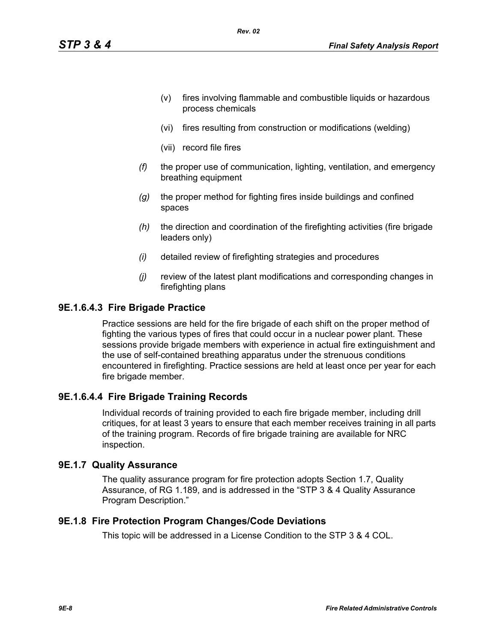- (v) fires involving flammable and combustible liquids or hazardous process chemicals
- (vi) fires resulting from construction or modifications (welding)
- (vii) record file fires
- *(f)* the proper use of communication, lighting, ventilation, and emergency breathing equipment
- *(g)* the proper method for fighting fires inside buildings and confined spaces
- *(h)* the direction and coordination of the firefighting activities (fire brigade leaders only)
- *(i)* detailed review of firefighting strategies and procedures
- *(j)* review of the latest plant modifications and corresponding changes in firefighting plans

#### **9E.1.6.4.3 Fire Brigade Practice**

Practice sessions are held for the fire brigade of each shift on the proper method of fighting the various types of fires that could occur in a nuclear power plant. These sessions provide brigade members with experience in actual fire extinguishment and the use of self-contained breathing apparatus under the strenuous conditions encountered in firefighting. Practice sessions are held at least once per year for each fire brigade member.

### **9E.1.6.4.4 Fire Brigade Training Records**

Individual records of training provided to each fire brigade member, including drill critiques, for at least 3 years to ensure that each member receives training in all parts of the training program. Records of fire brigade training are available for NRC inspection.

#### **9E.1.7 Quality Assurance**

The quality assurance program for fire protection adopts Section 1.7, Quality Assurance, of RG 1.189, and is addressed in the "STP 3 & 4 Quality Assurance Program Description."

#### **9E.1.8 Fire Protection Program Changes/Code Deviations**

This topic will be addressed in a License Condition to the STP 3 & 4 COL.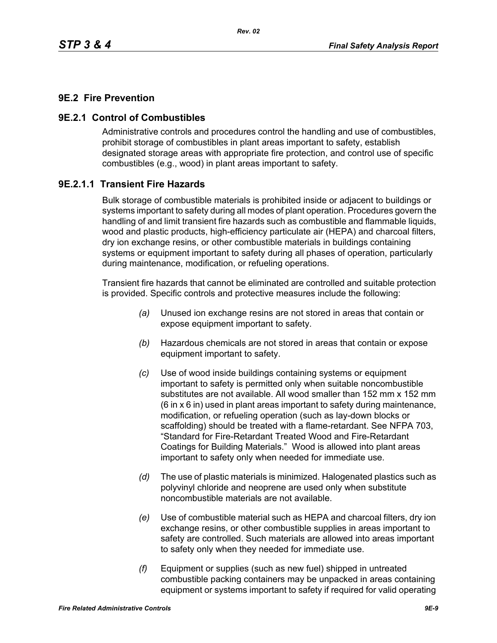## **9E.2 Fire Prevention**

### **9E.2.1 Control of Combustibles**

Administrative controls and procedures control the handling and use of combustibles, prohibit storage of combustibles in plant areas important to safety, establish designated storage areas with appropriate fire protection, and control use of specific combustibles (e.g., wood) in plant areas important to safety.

## **9E.2.1.1 Transient Fire Hazards**

Bulk storage of combustible materials is prohibited inside or adjacent to buildings or systems important to safety during all modes of plant operation. Procedures govern the handling of and limit transient fire hazards such as combustible and flammable liquids, wood and plastic products, high-efficiency particulate air (HEPA) and charcoal filters, dry ion exchange resins, or other combustible materials in buildings containing systems or equipment important to safety during all phases of operation, particularly during maintenance, modification, or refueling operations.

Transient fire hazards that cannot be eliminated are controlled and suitable protection is provided. Specific controls and protective measures include the following:

- *(a)* Unused ion exchange resins are not stored in areas that contain or expose equipment important to safety.
- *(b)* Hazardous chemicals are not stored in areas that contain or expose equipment important to safety.
- *(c)* Use of wood inside buildings containing systems or equipment important to safety is permitted only when suitable noncombustible substitutes are not available. All wood smaller than 152 mm x 152 mm (6 in x 6 in) used in plant areas important to safety during maintenance, modification, or refueling operation (such as lay-down blocks or scaffolding) should be treated with a flame-retardant. See NFPA 703, "Standard for Fire-Retardant Treated Wood and Fire-Retardant Coatings for Building Materials." Wood is allowed into plant areas important to safety only when needed for immediate use.
- *(d)* The use of plastic materials is minimized. Halogenated plastics such as polyvinyl chloride and neoprene are used only when substitute noncombustible materials are not available.
- *(e)* Use of combustible material such as HEPA and charcoal filters, dry ion exchange resins, or other combustible supplies in areas important to safety are controlled. Such materials are allowed into areas important to safety only when they needed for immediate use.
- *(f)* Equipment or supplies (such as new fuel) shipped in untreated combustible packing containers may be unpacked in areas containing equipment or systems important to safety if required for valid operating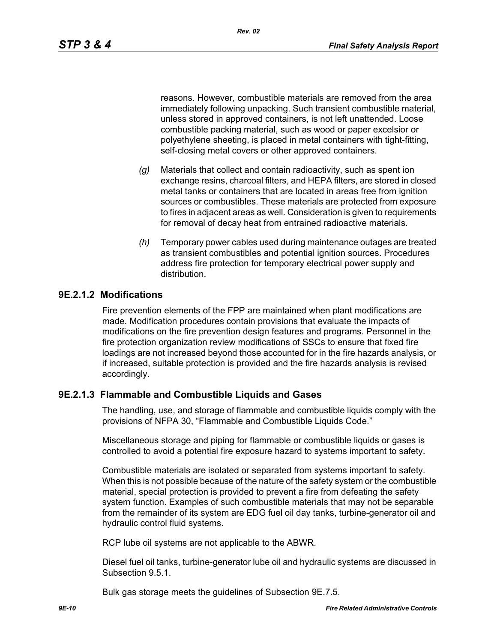reasons. However, combustible materials are removed from the area immediately following unpacking. Such transient combustible material, unless stored in approved containers, is not left unattended. Loose combustible packing material, such as wood or paper excelsior or polyethylene sheeting, is placed in metal containers with tight-fitting, self-closing metal covers or other approved containers.

- *(g)* Materials that collect and contain radioactivity, such as spent ion exchange resins, charcoal filters, and HEPA filters, are stored in closed metal tanks or containers that are located in areas free from ignition sources or combustibles. These materials are protected from exposure to fires in adjacent areas as well. Consideration is given to requirements for removal of decay heat from entrained radioactive materials.
- *(h)* Temporary power cables used during maintenance outages are treated as transient combustibles and potential ignition sources. Procedures address fire protection for temporary electrical power supply and distribution.

#### **9E.2.1.2 Modifications**

Fire prevention elements of the FPP are maintained when plant modifications are made. Modification procedures contain provisions that evaluate the impacts of modifications on the fire prevention design features and programs. Personnel in the fire protection organization review modifications of SSCs to ensure that fixed fire loadings are not increased beyond those accounted for in the fire hazards analysis, or if increased, suitable protection is provided and the fire hazards analysis is revised accordingly.

#### **9E.2.1.3 Flammable and Combustible Liquids and Gases**

The handling, use, and storage of flammable and combustible liquids comply with the provisions of NFPA 30, "Flammable and Combustible Liquids Code."

Miscellaneous storage and piping for flammable or combustible liquids or gases is controlled to avoid a potential fire exposure hazard to systems important to safety.

Combustible materials are isolated or separated from systems important to safety. When this is not possible because of the nature of the safety system or the combustible material, special protection is provided to prevent a fire from defeating the safety system function. Examples of such combustible materials that may not be separable from the remainder of its system are EDG fuel oil day tanks, turbine-generator oil and hydraulic control fluid systems.

RCP lube oil systems are not applicable to the ABWR.

Diesel fuel oil tanks, turbine-generator lube oil and hydraulic systems are discussed in Subsection 9.5.1.

Bulk gas storage meets the guidelines of Subsection 9E.7.5.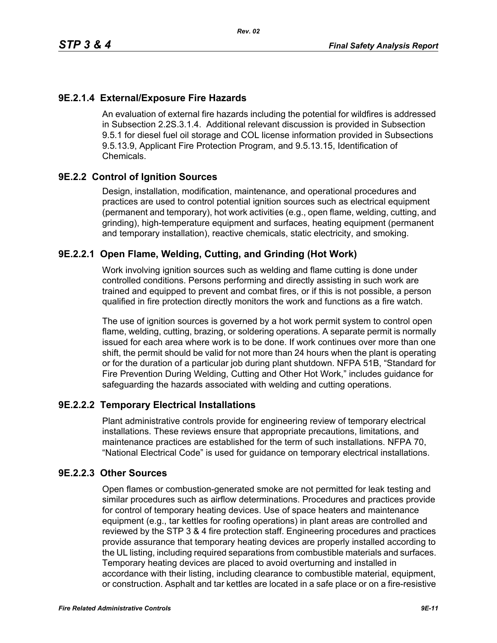# **9E.2.1.4 External/Exposure Fire Hazards**

An evaluation of external fire hazards including the potential for wildfires is addressed in Subsection 2.2S.3.1.4. Additional relevant discussion is provided in Subsection 9.5.1 for diesel fuel oil storage and COL license information provided in Subsections 9.5.13.9, Applicant Fire Protection Program, and 9.5.13.15, Identification of Chemicals.

# **9E.2.2 Control of Ignition Sources**

Design, installation, modification, maintenance, and operational procedures and practices are used to control potential ignition sources such as electrical equipment (permanent and temporary), hot work activities (e.g., open flame, welding, cutting, and grinding), high-temperature equipment and surfaces, heating equipment (permanent and temporary installation), reactive chemicals, static electricity, and smoking.

# **9E.2.2.1 Open Flame, Welding, Cutting, and Grinding (Hot Work)**

Work involving ignition sources such as welding and flame cutting is done under controlled conditions. Persons performing and directly assisting in such work are trained and equipped to prevent and combat fires, or if this is not possible, a person qualified in fire protection directly monitors the work and functions as a fire watch.

The use of ignition sources is governed by a hot work permit system to control open flame, welding, cutting, brazing, or soldering operations. A separate permit is normally issued for each area where work is to be done. If work continues over more than one shift, the permit should be valid for not more than 24 hours when the plant is operating or for the duration of a particular job during plant shutdown. NFPA 51B, "Standard for Fire Prevention During Welding, Cutting and Other Hot Work," includes guidance for safeguarding the hazards associated with welding and cutting operations.

# **9E.2.2.2 Temporary Electrical Installations**

Plant administrative controls provide for engineering review of temporary electrical installations. These reviews ensure that appropriate precautions, limitations, and maintenance practices are established for the term of such installations. NFPA 70, "National Electrical Code" is used for guidance on temporary electrical installations.

# **9E.2.2.3 Other Sources**

Open flames or combustion-generated smoke are not permitted for leak testing and similar procedures such as airflow determinations. Procedures and practices provide for control of temporary heating devices. Use of space heaters and maintenance equipment (e.g., tar kettles for roofing operations) in plant areas are controlled and reviewed by the STP 3 & 4 fire protection staff. Engineering procedures and practices provide assurance that temporary heating devices are properly installed according to the UL listing, including required separations from combustible materials and surfaces. Temporary heating devices are placed to avoid overturning and installed in accordance with their listing, including clearance to combustible material, equipment, or construction. Asphalt and tar kettles are located in a safe place or on a fire-resistive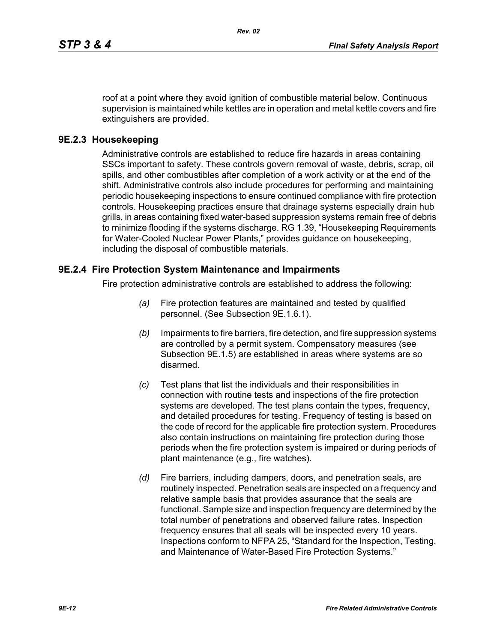roof at a point where they avoid ignition of combustible material below. Continuous supervision is maintained while kettles are in operation and metal kettle covers and fire extinguishers are provided.

### **9E.2.3 Housekeeping**

Administrative controls are established to reduce fire hazards in areas containing SSCs important to safety. These controls govern removal of waste, debris, scrap, oil spills, and other combustibles after completion of a work activity or at the end of the shift. Administrative controls also include procedures for performing and maintaining periodic housekeeping inspections to ensure continued compliance with fire protection controls. Housekeeping practices ensure that drainage systems especially drain hub grills, in areas containing fixed water-based suppression systems remain free of debris to minimize flooding if the systems discharge. RG 1.39, "Housekeeping Requirements for Water-Cooled Nuclear Power Plants," provides guidance on housekeeping, including the disposal of combustible materials.

### **9E.2.4 Fire Protection System Maintenance and Impairments**

Fire protection administrative controls are established to address the following:

- *(a)* Fire protection features are maintained and tested by qualified personnel. (See Subsection 9E.1.6.1).
- *(b)* Impairments to fire barriers, fire detection, and fire suppression systems are controlled by a permit system. Compensatory measures (see Subsection 9E.1.5) are established in areas where systems are so disarmed.
- *(c)* Test plans that list the individuals and their responsibilities in connection with routine tests and inspections of the fire protection systems are developed. The test plans contain the types, frequency, and detailed procedures for testing. Frequency of testing is based on the code of record for the applicable fire protection system. Procedures also contain instructions on maintaining fire protection during those periods when the fire protection system is impaired or during periods of plant maintenance (e.g., fire watches).
- *(d)* Fire barriers, including dampers, doors, and penetration seals, are routinely inspected. Penetration seals are inspected on a frequency and relative sample basis that provides assurance that the seals are functional. Sample size and inspection frequency are determined by the total number of penetrations and observed failure rates. Inspection frequency ensures that all seals will be inspected every 10 years. Inspections conform to NFPA 25, "Standard for the Inspection, Testing, and Maintenance of Water-Based Fire Protection Systems."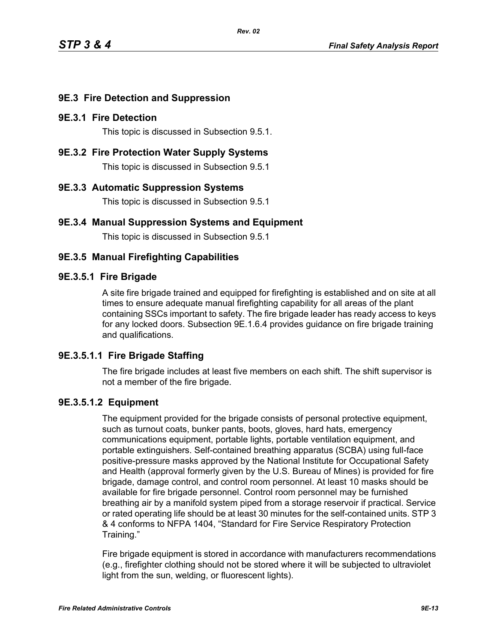# **9E.3 Fire Detection and Suppression**

### **9E.3.1 Fire Detection**

This topic is discussed in Subsection 9.5.1.

**9E.3.2 Fire Protection Water Supply Systems**

This topic is discussed in Subsection 9.5.1

### **9E.3.3 Automatic Suppression Systems**

This topic is discussed in Subsection 9.5.1

## **9E.3.4 Manual Suppression Systems and Equipment**

This topic is discussed in Subsection 9.5.1

## **9E.3.5 Manual Firefighting Capabilities**

#### **9E.3.5.1 Fire Brigade**

A site fire brigade trained and equipped for firefighting is established and on site at all times to ensure adequate manual firefighting capability for all areas of the plant containing SSCs important to safety. The fire brigade leader has ready access to keys for any locked doors. Subsection 9E.1.6.4 provides guidance on fire brigade training and qualifications.

### **9E.3.5.1.1 Fire Brigade Staffing**

The fire brigade includes at least five members on each shift. The shift supervisor is not a member of the fire brigade.

### **9E.3.5.1.2 Equipment**

The equipment provided for the brigade consists of personal protective equipment, such as turnout coats, bunker pants, boots, gloves, hard hats, emergency communications equipment, portable lights, portable ventilation equipment, and portable extinguishers. Self-contained breathing apparatus (SCBA) using full-face positive-pressure masks approved by the National Institute for Occupational Safety and Health (approval formerly given by the U.S. Bureau of Mines) is provided for fire brigade, damage control, and control room personnel. At least 10 masks should be available for fire brigade personnel. Control room personnel may be furnished breathing air by a manifold system piped from a storage reservoir if practical. Service or rated operating life should be at least 30 minutes for the self-contained units. STP 3 & 4 conforms to NFPA 1404, "Standard for Fire Service Respiratory Protection Training."

Fire brigade equipment is stored in accordance with manufacturers recommendations (e.g., firefighter clothing should not be stored where it will be subjected to ultraviolet light from the sun, welding, or fluorescent lights).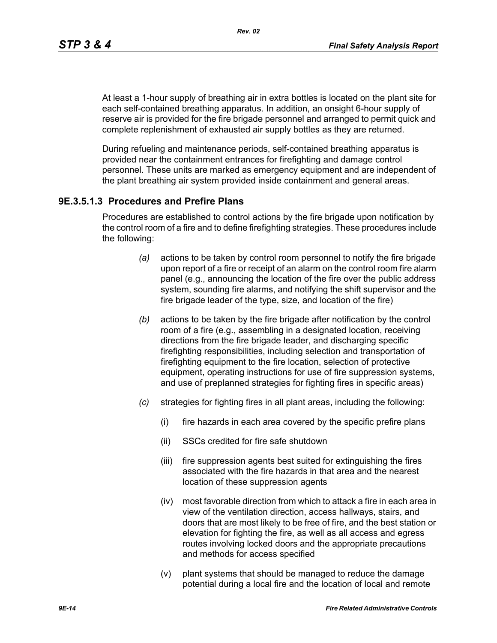At least a 1-hour supply of breathing air in extra bottles is located on the plant site for each self-contained breathing apparatus. In addition, an onsight 6-hour supply of reserve air is provided for the fire brigade personnel and arranged to permit quick and complete replenishment of exhausted air supply bottles as they are returned.

During refueling and maintenance periods, self-contained breathing apparatus is provided near the containment entrances for firefighting and damage control personnel. These units are marked as emergency equipment and are independent of the plant breathing air system provided inside containment and general areas.

### **9E.3.5.1.3 Procedures and Prefire Plans**

Procedures are established to control actions by the fire brigade upon notification by the control room of a fire and to define firefighting strategies. These procedures include the following:

- *(a)* actions to be taken by control room personnel to notify the fire brigade upon report of a fire or receipt of an alarm on the control room fire alarm panel (e.g., announcing the location of the fire over the public address system, sounding fire alarms, and notifying the shift supervisor and the fire brigade leader of the type, size, and location of the fire)
- *(b)* actions to be taken by the fire brigade after notification by the control room of a fire (e.g., assembling in a designated location, receiving directions from the fire brigade leader, and discharging specific firefighting responsibilities, including selection and transportation of firefighting equipment to the fire location, selection of protective equipment, operating instructions for use of fire suppression systems, and use of preplanned strategies for fighting fires in specific areas)
- *(c)* strategies for fighting fires in all plant areas, including the following:
	- (i) fire hazards in each area covered by the specific prefire plans
	- (ii) SSCs credited for fire safe shutdown
	- (iii) fire suppression agents best suited for extinguishing the fires associated with the fire hazards in that area and the nearest location of these suppression agents
	- (iv) most favorable direction from which to attack a fire in each area in view of the ventilation direction, access hallways, stairs, and doors that are most likely to be free of fire, and the best station or elevation for fighting the fire, as well as all access and egress routes involving locked doors and the appropriate precautions and methods for access specified
	- (v) plant systems that should be managed to reduce the damage potential during a local fire and the location of local and remote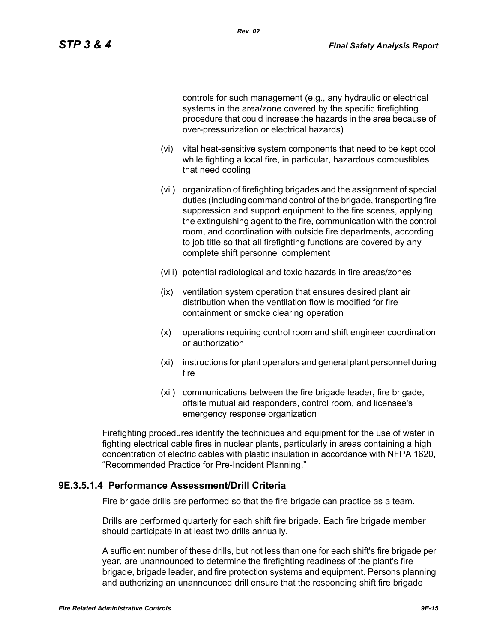controls for such management (e.g., any hydraulic or electrical systems in the area/zone covered by the specific firefighting procedure that could increase the hazards in the area because of over-pressurization or electrical hazards)

- (vi) vital heat-sensitive system components that need to be kept cool while fighting a local fire, in particular, hazardous combustibles that need cooling
- (vii) organization of firefighting brigades and the assignment of special duties (including command control of the brigade, transporting fire suppression and support equipment to the fire scenes, applying the extinguishing agent to the fire, communication with the control room, and coordination with outside fire departments, according to job title so that all firefighting functions are covered by any complete shift personnel complement
- (viii) potential radiological and toxic hazards in fire areas/zones
- (ix) ventilation system operation that ensures desired plant air distribution when the ventilation flow is modified for fire containment or smoke clearing operation
- (x) operations requiring control room and shift engineer coordination or authorization
- (xi) instructions for plant operators and general plant personnel during fire
- (xii) communications between the fire brigade leader, fire brigade, offsite mutual aid responders, control room, and licensee's emergency response organization

Firefighting procedures identify the techniques and equipment for the use of water in fighting electrical cable fires in nuclear plants, particularly in areas containing a high concentration of electric cables with plastic insulation in accordance with NFPA 1620, "Recommended Practice for Pre-Incident Planning."

### **9E.3.5.1.4 Performance Assessment/Drill Criteria**

Fire brigade drills are performed so that the fire brigade can practice as a team.

Drills are performed quarterly for each shift fire brigade. Each fire brigade member should participate in at least two drills annually.

A sufficient number of these drills, but not less than one for each shift's fire brigade per year, are unannounced to determine the firefighting readiness of the plant's fire brigade, brigade leader, and fire protection systems and equipment. Persons planning and authorizing an unannounced drill ensure that the responding shift fire brigade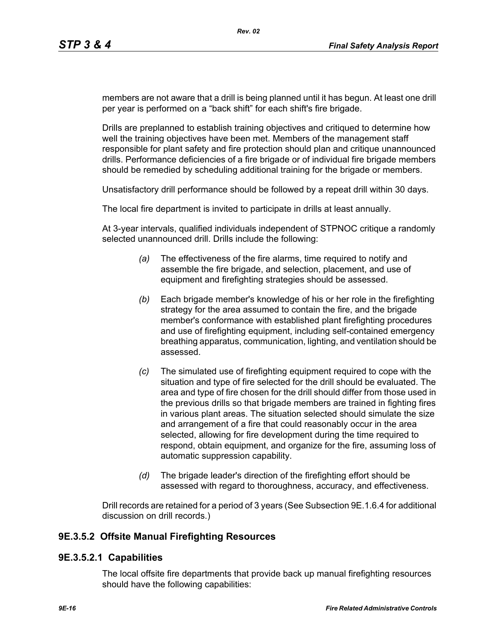members are not aware that a drill is being planned until it has begun. At least one drill per year is performed on a "back shift" for each shift's fire brigade.

Drills are preplanned to establish training objectives and critiqued to determine how well the training objectives have been met. Members of the management staff responsible for plant safety and fire protection should plan and critique unannounced drills. Performance deficiencies of a fire brigade or of individual fire brigade members should be remedied by scheduling additional training for the brigade or members.

Unsatisfactory drill performance should be followed by a repeat drill within 30 days.

The local fire department is invited to participate in drills at least annually.

At 3-year intervals, qualified individuals independent of STPNOC critique a randomly selected unannounced drill. Drills include the following:

- *(a)* The effectiveness of the fire alarms, time required to notify and assemble the fire brigade, and selection, placement, and use of equipment and firefighting strategies should be assessed.
- *(b)* Each brigade member's knowledge of his or her role in the firefighting strategy for the area assumed to contain the fire, and the brigade member's conformance with established plant firefighting procedures and use of firefighting equipment, including self-contained emergency breathing apparatus, communication, lighting, and ventilation should be assessed.
- *(c)* The simulated use of firefighting equipment required to cope with the situation and type of fire selected for the drill should be evaluated. The area and type of fire chosen for the drill should differ from those used in the previous drills so that brigade members are trained in fighting fires in various plant areas. The situation selected should simulate the size and arrangement of a fire that could reasonably occur in the area selected, allowing for fire development during the time required to respond, obtain equipment, and organize for the fire, assuming loss of automatic suppression capability.
- *(d)* The brigade leader's direction of the firefighting effort should be assessed with regard to thoroughness, accuracy, and effectiveness.

Drill records are retained for a period of 3 years (See Subsection 9E.1.6.4 for additional discussion on drill records.)

### **9E.3.5.2 Offsite Manual Firefighting Resources**

### **9E.3.5.2.1 Capabilities**

The local offsite fire departments that provide back up manual firefighting resources should have the following capabilities: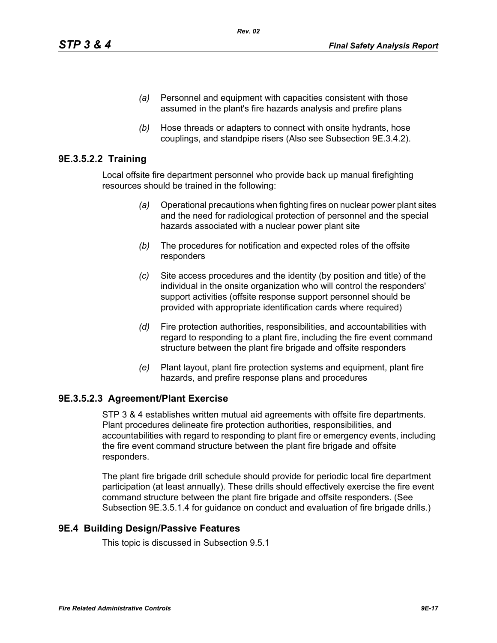- *(a)* Personnel and equipment with capacities consistent with those assumed in the plant's fire hazards analysis and prefire plans
- *(b)* Hose threads or adapters to connect with onsite hydrants, hose couplings, and standpipe risers (Also see Subsection 9E.3.4.2).

# **9E.3.5.2.2 Training**

Local offsite fire department personnel who provide back up manual firefighting resources should be trained in the following:

- *(a)* Operational precautions when fighting fires on nuclear power plant sites and the need for radiological protection of personnel and the special hazards associated with a nuclear power plant site
- *(b)* The procedures for notification and expected roles of the offsite responders
- *(c)* Site access procedures and the identity (by position and title) of the individual in the onsite organization who will control the responders' support activities (offsite response support personnel should be provided with appropriate identification cards where required)
- *(d)* Fire protection authorities, responsibilities, and accountabilities with regard to responding to a plant fire, including the fire event command structure between the plant fire brigade and offsite responders
- *(e)* Plant layout, plant fire protection systems and equipment, plant fire hazards, and prefire response plans and procedures

# **9E.3.5.2.3 Agreement/Plant Exercise**

STP 3 & 4 establishes written mutual aid agreements with offsite fire departments. Plant procedures delineate fire protection authorities, responsibilities, and accountabilities with regard to responding to plant fire or emergency events, including the fire event command structure between the plant fire brigade and offsite responders.

The plant fire brigade drill schedule should provide for periodic local fire department participation (at least annually). These drills should effectively exercise the fire event command structure between the plant fire brigade and offsite responders. (See Subsection 9E.3.5.1.4 for guidance on conduct and evaluation of fire brigade drills.)

# **9E.4 Building Design/Passive Features**

This topic is discussed in Subsection 9.5.1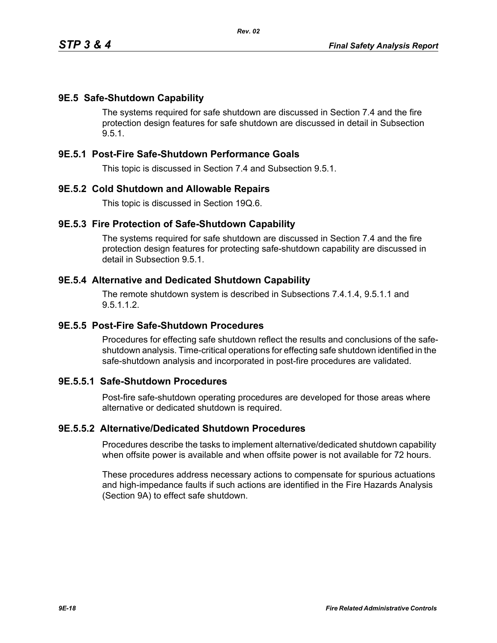## **9E.5 Safe-Shutdown Capability**

The systems required for safe shutdown are discussed in Section 7.4 and the fire protection design features for safe shutdown are discussed in detail in Subsection 9.5.1.

### **9E.5.1 Post-Fire Safe-Shutdown Performance Goals**

This topic is discussed in Section 7.4 and Subsection 9.5.1.

#### **9E.5.2 Cold Shutdown and Allowable Repairs**

This topic is discussed in Section 19Q.6.

#### **9E.5.3 Fire Protection of Safe-Shutdown Capability**

The systems required for safe shutdown are discussed in Section 7.4 and the fire protection design features for protecting safe-shutdown capability are discussed in detail in Subsection 9.5.1.

#### **9E.5.4 Alternative and Dedicated Shutdown Capability**

The remote shutdown system is described in Subsections 7.4.1.4, 9.5.1.1 and 9.5.1.1.2.

#### **9E.5.5 Post-Fire Safe-Shutdown Procedures**

Procedures for effecting safe shutdown reflect the results and conclusions of the safeshutdown analysis. Time-critical operations for effecting safe shutdown identified in the safe-shutdown analysis and incorporated in post-fire procedures are validated.

# **9E.5.5.1 Safe-Shutdown Procedures**

Post-fire safe-shutdown operating procedures are developed for those areas where alternative or dedicated shutdown is required.

#### **9E.5.5.2 Alternative/Dedicated Shutdown Procedures**

Procedures describe the tasks to implement alternative/dedicated shutdown capability when offsite power is available and when offsite power is not available for 72 hours.

These procedures address necessary actions to compensate for spurious actuations and high-impedance faults if such actions are identified in the Fire Hazards Analysis (Section 9A) to effect safe shutdown.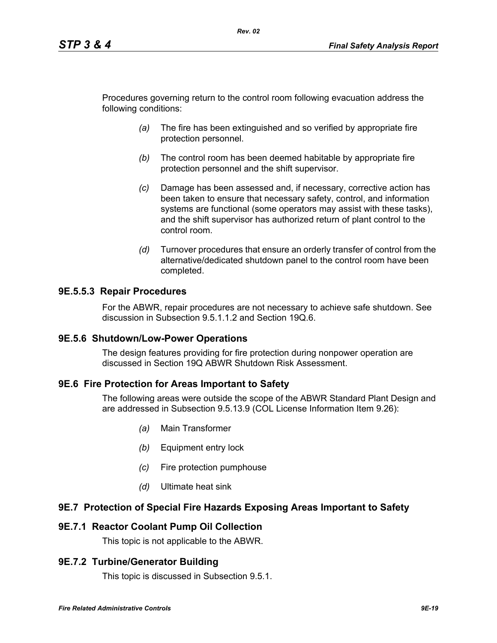Procedures governing return to the control room following evacuation address the following conditions:

*Rev. 02*

- *(a)* The fire has been extinguished and so verified by appropriate fire protection personnel.
- *(b)* The control room has been deemed habitable by appropriate fire protection personnel and the shift supervisor.
- *(c)* Damage has been assessed and, if necessary, corrective action has been taken to ensure that necessary safety, control, and information systems are functional (some operators may assist with these tasks), and the shift supervisor has authorized return of plant control to the control room.
- *(d)* Turnover procedures that ensure an orderly transfer of control from the alternative/dedicated shutdown panel to the control room have been completed.

## **9E.5.5.3 Repair Procedures**

For the ABWR, repair procedures are not necessary to achieve safe shutdown. See discussion in Subsection 9.5.1.1.2 and Section 19Q.6.

### **9E.5.6 Shutdown/Low-Power Operations**

The design features providing for fire protection during nonpower operation are discussed in Section 19Q ABWR Shutdown Risk Assessment.

### **9E.6 Fire Protection for Areas Important to Safety**

The following areas were outside the scope of the ABWR Standard Plant Design and are addressed in Subsection 9.5.13.9 (COL License Information Item 9.26):

- *(a)* Main Transformer
- *(b)* Equipment entry lock
- *(c)* Fire protection pumphouse
- *(d)* Ultimate heat sink

### **9E.7 Protection of Special Fire Hazards Exposing Areas Important to Safety**

### **9E.7.1 Reactor Coolant Pump Oil Collection**

This topic is not applicable to the ABWR.

### **9E.7.2 Turbine/Generator Building**

This topic is discussed in Subsection 9.5.1.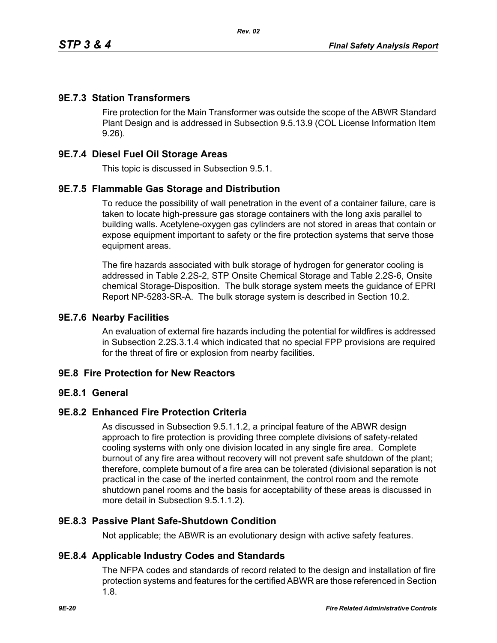## **9E.7.3 Station Transformers**

Fire protection for the Main Transformer was outside the scope of the ABWR Standard Plant Design and is addressed in Subsection 9.5.13.9 (COL License Information Item 9.26).

### **9E.7.4 Diesel Fuel Oil Storage Areas**

This topic is discussed in Subsection 9.5.1.

## **9E.7.5 Flammable Gas Storage and Distribution**

To reduce the possibility of wall penetration in the event of a container failure, care is taken to locate high-pressure gas storage containers with the long axis parallel to building walls. Acetylene-oxygen gas cylinders are not stored in areas that contain or expose equipment important to safety or the fire protection systems that serve those equipment areas.

The fire hazards associated with bulk storage of hydrogen for generator cooling is addressed in Table 2.2S-2, STP Onsite Chemical Storage and Table 2.2S-6, Onsite chemical Storage-Disposition. The bulk storage system meets the guidance of EPRI Report NP-5283-SR-A. The bulk storage system is described in Section 10.2.

### **9E.7.6 Nearby Facilities**

An evaluation of external fire hazards including the potential for wildfires is addressed in Subsection 2.2S.3.1.4 which indicated that no special FPP provisions are required for the threat of fire or explosion from nearby facilities.

### **9E.8 Fire Protection for New Reactors**

### **9E.8.1 General**

### **9E.8.2 Enhanced Fire Protection Criteria**

As discussed in Subsection 9.5.1.1.2, a principal feature of the ABWR design approach to fire protection is providing three complete divisions of safety-related cooling systems with only one division located in any single fire area. Complete burnout of any fire area without recovery will not prevent safe shutdown of the plant; therefore, complete burnout of a fire area can be tolerated (divisional separation is not practical in the case of the inerted containment, the control room and the remote shutdown panel rooms and the basis for acceptability of these areas is discussed in more detail in Subsection 9.5.1.1.2).

### **9E.8.3 Passive Plant Safe-Shutdown Condition**

Not applicable; the ABWR is an evolutionary design with active safety features.

### **9E.8.4 Applicable Industry Codes and Standards**

The NFPA codes and standards of record related to the design and installation of fire protection systems and features for the certified ABWR are those referenced in Section 1.8.